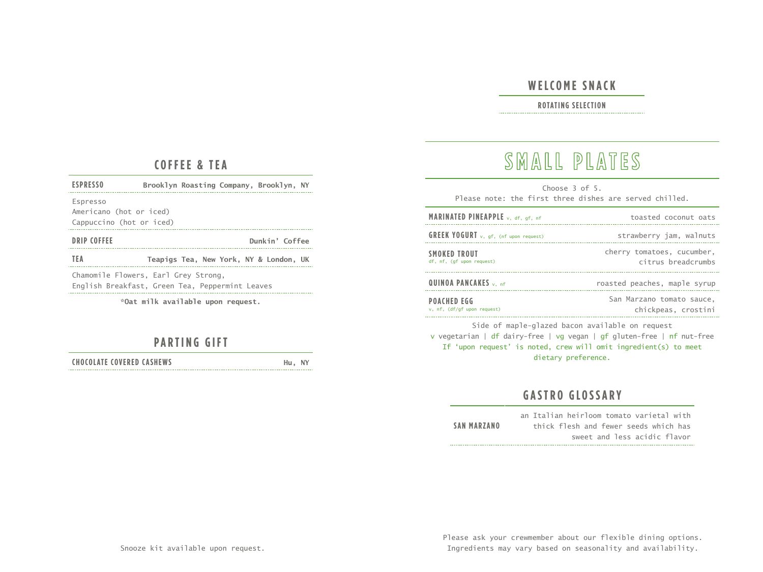## **WELCOME SNACK**

### **ROTATING SELECTION**

#### **COFFEE & TEA**

| <b>ESPRESSO</b>                                                 | Brooklyn Roasting Company, Brooklyn, NY |  |  |
|-----------------------------------------------------------------|-----------------------------------------|--|--|
| Espresso<br>Americano (hot or iced)<br>Cappuccino (hot or iced) |                                         |  |  |
| DRIP COFFEE                                                     | Dunkin' Coffee                          |  |  |
| TEA                                                             | Teapigs Tea, New York, NY & London, UK  |  |  |
| Chamomile Flowers, Earl Grey Strong,                            |                                         |  |  |

English Breakfast, Green Tea, Peppermint Leaves

**\*Oat milk available upon request.** 

## **PARTING GIFT**

**CHOCOLATE COVERED CASHEWS Hu, NY** 

## **SMALL PLATES**

Choose 3 of 5. Please note: the first three dishes are served chilled.

| MARINATED PINEAPPLE v, df, gf, nf                 | toasted coconut oats                             |
|---------------------------------------------------|--------------------------------------------------|
| <b>GREEK YOGURT</b> v, gf, (nf upon request)      | strawberry jam, walnuts                          |
| <b>SMOKED TROUT</b><br>df, nf, (qf upon request)  | cherry tomatoes, cucumber,<br>citrus breadcrumbs |
| QUINOA PANCAKES v, nf                             | roasted peaches, maple syrup                     |
| <b>POACHED EGG</b><br>v, nf, (df/qf upon request) | San Marzano tomato sauce,<br>chickpeas, crostini |

Side of maple-glazed bacon available on request v vegetarian | df dairy-free | vg vegan | gf gluten-free | nf nut-free If 'upon request' is noted, crew will omit ingredient(s) to meet dietary preference.

## **GASTRO GLOSSARY**

an Italian heirloom tomato varietal with **SAN MARZANO** thick flesh and fewer seeds which has sweet and less acidic flavor